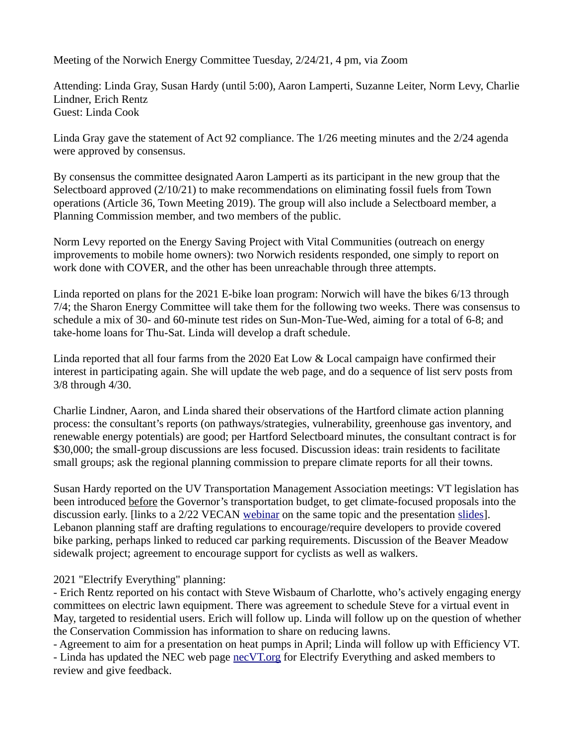Meeting of the Norwich Energy Committee Tuesday, 2/24/21, 4 pm, via Zoom

Attending: Linda Gray, Susan Hardy (until 5:00), Aaron Lamperti, Suzanne Leiter, Norm Levy, Charlie Lindner, Erich Rentz Guest: Linda Cook

Linda Gray gave the statement of Act 92 compliance. The 1/26 meeting minutes and the 2/24 agenda were approved by consensus.

By consensus the committee designated Aaron Lamperti as its participant in the new group that the Selectboard approved (2/10/21) to make recommendations on eliminating fossil fuels from Town operations (Article 36, Town Meeting 2019). The group will also include a Selectboard member, a Planning Commission member, and two members of the public.

Norm Levy reported on the Energy Saving Project with Vital Communities (outreach on energy improvements to mobile home owners): two Norwich residents responded, one simply to report on work done with COVER, and the other has been unreachable through three attempts.

Linda reported on plans for the 2021 E-bike loan program: Norwich will have the bikes 6/13 through 7/4; the Sharon Energy Committee will take them for the following two weeks. There was consensus to schedule a mix of 30- and 60-minute test rides on Sun-Mon-Tue-Wed, aiming for a total of 6-8; and take-home loans for Thu-Sat. Linda will develop a draft schedule.

Linda reported that all four farms from the 2020 Eat Low & Local campaign have confirmed their interest in participating again. She will update the web page, and do a sequence of list serv posts from 3/8 through 4/30.

Charlie Lindner, Aaron, and Linda shared their observations of the Hartford climate action planning process: the consultant's reports (on pathways/strategies, vulnerability, greenhouse gas inventory, and renewable energy potentials) are good; per Hartford Selectboard minutes, the consultant contract is for \$30,000; the small-group discussions are less focused. Discussion ideas: train residents to facilitate small groups; ask the regional planning commission to prepare climate reports for all their towns.

Susan Hardy reported on the UV Transportation Management Association meetings: VT legislation has been introduced before the Governor's transportation budget, to get climate-focused proposals into the discussion early. [links to a 2/22 VECAN [webinar](https://us02web.zoom.us/rec/play/87xLoGqMzJyhh_PGhr4gkpqsbB_x5ujA8jVauRwvQSKkP8MEI0xMwqSIcgPD4T6BODlfj8yWzNW6KvzY.s3S-VN29k8iTumiE?startTime=1614099785000&_x_zm_rtaid=VQg88uJlT7Oj_aTPUht1tQ.1614267523022.5240ba70f6feca571c5b0a03dc78804a&_x_zm_rhtaid=676) on the same topic and the presentation [slides](https://vecan.net/wp-content/uploads/2021/02/TMA-and-T-BILL-for-Town-Energy-Committees.pdf?emci=6db3f539-ea75-eb11-9889-00155d43c992&emdi=04cf2a9e-df76-eb11-9889-00155d43c992&ceid=6178623)]. Lebanon planning staff are drafting regulations to encourage/require developers to provide covered bike parking, perhaps linked to reduced car parking requirements. Discussion of the Beaver Meadow sidewalk project; agreement to encourage support for cyclists as well as walkers.

2021 "Electrify Everything" planning:

- Erich Rentz reported on his contact with Steve Wisbaum of Charlotte, who's actively engaging energy committees on electric lawn equipment. There was agreement to schedule Steve for a virtual event in May, targeted to residential users. Erich will follow up. Linda will follow up on the question of whether the Conservation Commission has information to share on reducing lawns.

- Agreement to aim for a presentation on heat pumps in April; Linda will follow up with Efficiency VT. - Linda has updated the NEC web page [necVT.org](http://necVT.org/) for Electrify Everything and asked members to

review and give feedback.